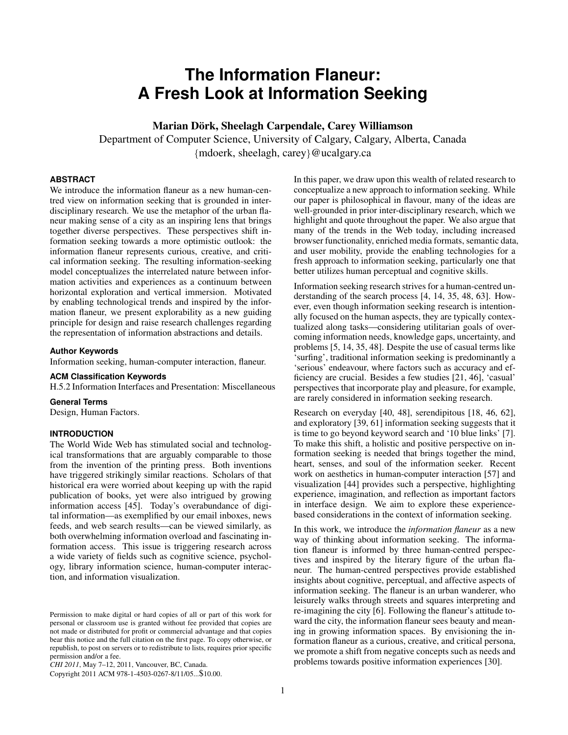# **The Information Flaneur: A Fresh Look at Information Seeking**

Marian Dörk, Sheelagh Carpendale, Carey Williamson

Department of Computer Science, University of Calgary, Calgary, Alberta, Canada {mdoerk, sheelagh, carey}@ucalgary.ca

# **ABSTRACT**

We introduce the information flaneur as a new human-centred view on information seeking that is grounded in interdisciplinary research. We use the metaphor of the urban flaneur making sense of a city as an inspiring lens that brings together diverse perspectives. These perspectives shift information seeking towards a more optimistic outlook: the information flaneur represents curious, creative, and critical information seeking. The resulting information-seeking model conceptualizes the interrelated nature between information activities and experiences as a continuum between horizontal exploration and vertical immersion. Motivated by enabling technological trends and inspired by the information flaneur, we present explorability as a new guiding principle for design and raise research challenges regarding the representation of information abstractions and details.

## **Author Keywords**

Information seeking, human-computer interaction, flaneur.

## **ACM Classification Keywords**

H.5.2 Information Interfaces and Presentation: Miscellaneous

### **General Terms**

Design, Human Factors.

# **INTRODUCTION**

The World Wide Web has stimulated social and technological transformations that are arguably comparable to those from the invention of the printing press. Both inventions have triggered strikingly similar reactions. Scholars of that historical era were worried about keeping up with the rapid publication of books, yet were also intrigued by growing information access [\[45\]](#page-9-0). Today's overabundance of digital information—as exemplified by our email inboxes, news feeds, and web search results—can be viewed similarly, as both overwhelming information overload and fascinating information access. This issue is triggering research across a wide variety of fields such as cognitive science, psychology, library information science, human-computer interaction, and information visualization.

*CHI 2011*, May 7–12, 2011, Vancouver, BC, Canada.

Copyright 2011 ACM 978-1-4503-0267-8/11/05...\$10.00.

In this paper, we draw upon this wealth of related research to conceptualize a new approach to information seeking. While our paper is philosophical in flavour, many of the ideas are well-grounded in prior inter-disciplinary research, which we highlight and quote throughout the paper. We also argue that many of the trends in the Web today, including increased browser functionality, enriched media formats, semantic data, and user mobility, provide the enabling technologies for a fresh approach to information seeking, particularly one that better utilizes human perceptual and cognitive skills.

Information seeking research strives for a human-centred understanding of the search process [\[4,](#page-8-0) [14,](#page-8-1) [35,](#page-9-1) [48,](#page-9-2) [63\]](#page-9-3). However, even though information seeking research is intentionally focused on the human aspects, they are typically contextualized along tasks—considering utilitarian goals of overcoming information needs, knowledge gaps, uncertainty, and problems [\[5,](#page-8-2) [14,](#page-8-1) [35,](#page-9-1) [48\]](#page-9-2). Despite the use of casual terms like 'surfing', traditional information seeking is predominantly a 'serious' endeavour, where factors such as accuracy and efficiency are crucial. Besides a few studies [\[21,](#page-8-3) [46\]](#page-9-4), 'casual' perspectives that incorporate play and pleasure, for example, are rarely considered in information seeking research.

Research on everyday [\[40,](#page-9-5) [48\]](#page-9-2), serendipitous [\[18,](#page-8-4) [46,](#page-9-4) [62\]](#page-9-6), and exploratory [\[39,](#page-9-7) [61\]](#page-9-8) information seeking suggests that it is time to go beyond keyword search and '10 blue links' [\[7\]](#page-8-5). To make this shift, a holistic and positive perspective on information seeking is needed that brings together the mind, heart, senses, and soul of the information seeker. Recent work on aesthetics in human-computer interaction [\[57\]](#page-9-9) and visualization [\[44\]](#page-9-10) provides such a perspective, highlighting experience, imagination, and reflection as important factors in interface design. We aim to explore these experiencebased considerations in the context of information seeking.

In this work, we introduce the *information flaneur* as a new way of thinking about information seeking. The information flaneur is informed by three human-centred perspectives and inspired by the literary figure of the urban flaneur. The human-centred perspectives provide established insights about cognitive, perceptual, and affective aspects of information seeking. The flaneur is an urban wanderer, who leisurely walks through streets and squares interpreting and re-imagining the city [\[6\]](#page-8-6). Following the flaneur's attitude toward the city, the information flaneur sees beauty and meaning in growing information spaces. By envisioning the information flaneur as a curious, creative, and critical persona, we promote a shift from negative concepts such as needs and problems towards positive information experiences [\[30\]](#page-9-11).

Permission to make digital or hard copies of all or part of this work for personal or classroom use is granted without fee provided that copies are not made or distributed for profit or commercial advantage and that copies bear this notice and the full citation on the first page. To copy otherwise, or republish, to post on servers or to redistribute to lists, requires prior specific permission and/or a fee.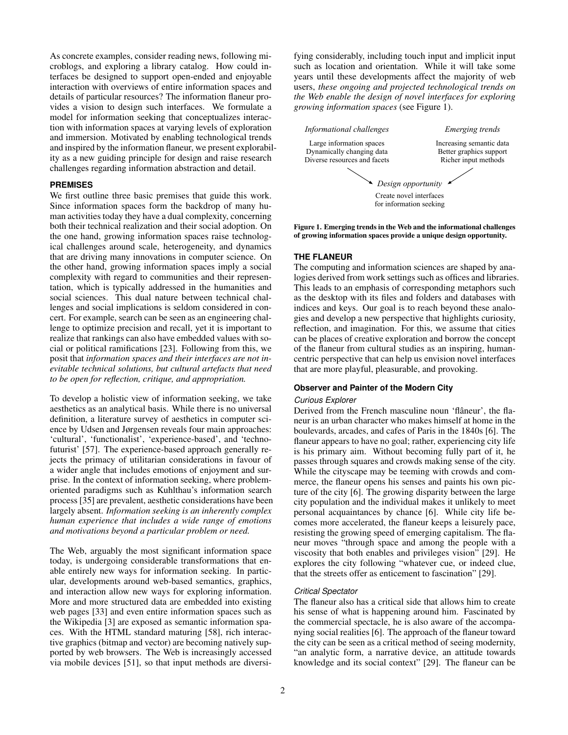As concrete examples, consider reading news, following microblogs, and exploring a library catalog. How could interfaces be designed to support open-ended and enjoyable interaction with overviews of entire information spaces and details of particular resources? The information flaneur provides a vision to design such interfaces. We formulate a model for information seeking that conceptualizes interaction with information spaces at varying levels of exploration and immersion. Motivated by enabling technological trends and inspired by the information flaneur, we present explorability as a new guiding principle for design and raise research challenges regarding information abstraction and detail.

# **PREMISES**

We first outline three basic premises that guide this work. Since information spaces form the backdrop of many human activities today they have a dual complexity, concerning both their technical realization and their social adoption. On the one hand, growing information spaces raise technological challenges around scale, heterogeneity, and dynamics that are driving many innovations in computer science. On the other hand, growing information spaces imply a social complexity with regard to communities and their representation, which is typically addressed in the humanities and social sciences. This dual nature between technical challenges and social implications is seldom considered in concert. For example, search can be seen as an engineering challenge to optimize precision and recall, yet it is important to realize that rankings can also have embedded values with social or political ramifications [\[23\]](#page-8-7). Following from this, we posit that *information spaces and their interfaces are not inevitable technical solutions, but cultural artefacts that need to be open for reflection, critique, and appropriation.*

To develop a holistic view of information seeking, we take aesthetics as an analytical basis. While there is no universal definition, a literature survey of aesthetics in computer science by Udsen and Jørgensen reveals four main approaches: 'cultural', 'functionalist', 'experience-based', and 'technofuturist' [\[57\]](#page-9-9). The experience-based approach generally rejects the primacy of utilitarian considerations in favour of a wider angle that includes emotions of enjoyment and surprise. In the context of information seeking, where problemoriented paradigms such as Kuhlthau's information search process [\[35\]](#page-9-1) are prevalent, aesthetic considerations have been largely absent. *Information seeking is an inherently complex human experience that includes a wide range of emotions and motivations beyond a particular problem or need.*

The Web, arguably the most significant information space today, is undergoing considerable transformations that enable entirely new ways for information seeking. In particular, developments around web-based semantics, graphics, and interaction allow new ways for exploring information. More and more structured data are embedded into existing web pages [\[33\]](#page-9-12) and even entire information spaces such as the Wikipedia [\[3\]](#page-8-8) are exposed as semantic information spaces. With the HTML standard maturing [\[58\]](#page-9-13), rich interactive graphics (bitmap and vector) are becoming natively supported by web browsers. The Web is increasingly accessed via mobile devices [\[51\]](#page-9-14), so that input methods are diversifying considerably, including touch input and implicit input such as location and orientation. While it will take some years until these developments affect the majority of web users, *these ongoing and projected technological trends on the Web enable the design of novel interfaces for exploring growing information spaces* (see Figure [1\)](#page-1-0).



<span id="page-1-0"></span>Figure 1. Emerging trends in the Web and the informational challenges of growing information spaces provide a unique design opportunity.

#### **THE FLANEUR**

The computing and information sciences are shaped by analogies derived from work settings such as offices and libraries. This leads to an emphasis of corresponding metaphors such as the desktop with its files and folders and databases with indices and keys. Our goal is to reach beyond these analogies and develop a new perspective that highlights curiosity, reflection, and imagination. For this, we assume that cities can be places of creative exploration and borrow the concept of the flaneur from cultural studies as an inspiring, humancentric perspective that can help us envision novel interfaces that are more playful, pleasurable, and provoking.

## **Observer and Painter of the Modern City**

#### *Curious Explorer*

Derived from the French masculine noun 'flâneur', the flaneur is an urban character who makes himself at home in the boulevards, arcades, and cafes of Paris in the 1840s [\[6\]](#page-8-6). The flaneur appears to have no goal; rather, experiencing city life is his primary aim. Without becoming fully part of it, he passes through squares and crowds making sense of the city. While the cityscape may be teeming with crowds and commerce, the flaneur opens his senses and paints his own picture of the city [\[6\]](#page-8-6). The growing disparity between the large city population and the individual makes it unlikely to meet personal acquaintances by chance [\[6\]](#page-8-6). While city life becomes more accelerated, the flaneur keeps a leisurely pace, resisting the growing speed of emerging capitalism. The flaneur moves "through space and among the people with a viscosity that both enables and privileges vision" [\[29\]](#page-9-15). He explores the city following "whatever cue, or indeed clue, that the streets offer as enticement to fascination" [\[29\]](#page-9-15).

#### *Critical Spectator*

The flaneur also has a critical side that allows him to create his sense of what is happening around him. Fascinated by the commercial spectacle, he is also aware of the accompanying social realities [\[6\]](#page-8-6). The approach of the flaneur toward the city can be seen as a critical method of seeing modernity, "an analytic form, a narrative device, an attitude towards knowledge and its social context" [\[29\]](#page-9-15). The flaneur can be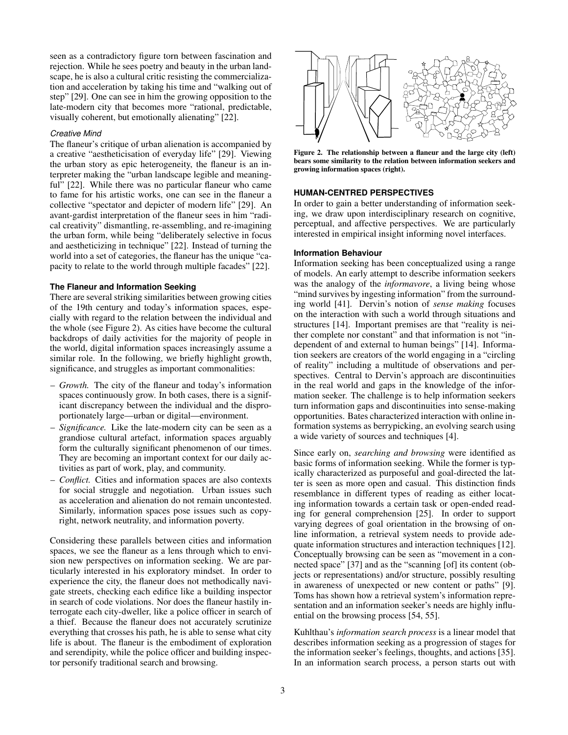seen as a contradictory figure torn between fascination and rejection. While he sees poetry and beauty in the urban landscape, he is also a cultural critic resisting the commercialization and acceleration by taking his time and "walking out of step" [\[29\]](#page-9-15). One can see in him the growing opposition to the late-modern city that becomes more "rational, predictable, visually coherent, but emotionally alienating" [\[22\]](#page-8-9).

## *Creative Mind*

The flaneur's critique of urban alienation is accompanied by a creative "aestheticisation of everyday life" [\[29\]](#page-9-15). Viewing the urban story as epic heterogeneity, the flaneur is an interpreter making the "urban landscape legible and meaning-ful" [\[22\]](#page-8-9). While there was no particular flaneur who came to fame for his artistic works, one can see in the flaneur a collective "spectator and depicter of modern life" [\[29\]](#page-9-15). An avant-gardist interpretation of the flaneur sees in him "radical creativity" dismantling, re-assembling, and re-imagining the urban form, while being "deliberately selective in focus and aestheticizing in technique" [\[22\]](#page-8-9). Instead of turning the world into a set of categories, the flaneur has the unique "capacity to relate to the world through multiple facades" [\[22\]](#page-8-9).

# **The Flaneur and Information Seeking**

There are several striking similarities between growing cities of the 19th century and today's information spaces, especially with regard to the relation between the individual and the whole (see Figure [2\)](#page-2-0). As cities have become the cultural backdrops of daily activities for the majority of people in the world, digital information spaces increasingly assume a similar role. In the following, we briefly highlight growth, significance, and struggles as important commonalities:

- *Growth.* The city of the flaneur and today's information spaces continuously grow. In both cases, there is a significant discrepancy between the individual and the disproportionately large—urban or digital—environment.
- *Significance.* Like the late-modern city can be seen as a grandiose cultural artefact, information spaces arguably form the culturally significant phenomenon of our times. They are becoming an important context for our daily activities as part of work, play, and community.
- *Conflict.* Cities and information spaces are also contexts for social struggle and negotiation. Urban issues such as acceleration and alienation do not remain uncontested. Similarly, information spaces pose issues such as copyright, network neutrality, and information poverty.

Considering these parallels between cities and information spaces, we see the flaneur as a lens through which to envision new perspectives on information seeking. We are particularly interested in his exploratory mindset. In order to experience the city, the flaneur does not methodically navigate streets, checking each edifice like a building inspector in search of code violations. Nor does the flaneur hastily interrogate each city-dweller, like a police officer in search of a thief. Because the flaneur does not accurately scrutinize everything that crosses his path, he is able to sense what city life is about. The flaneur is the embodiment of exploration and serendipity, while the police officer and building inspector personify traditional search and browsing.



<span id="page-2-0"></span>Figure 2. The relationship between a flaneur and the large city (left) bears some similarity to the relation between information seekers and growing information spaces (right).

#### **HUMAN-CENTRED PERSPECTIVES**

In order to gain a better understanding of information seeking, we draw upon interdisciplinary research on cognitive, perceptual, and affective perspectives. We are particularly interested in empirical insight informing novel interfaces.

#### **Information Behaviour**

Information seeking has been conceptualized using a range of models. An early attempt to describe information seekers was the analogy of the *informavore*, a living being whose "mind survives by ingesting information" from the surrounding world [\[41\]](#page-9-16). Dervin's notion of *sense making* focuses on the interaction with such a world through situations and structures [\[14\]](#page-8-1). Important premises are that "reality is neither complete nor constant" and that information is not "independent of and external to human beings" [\[14\]](#page-8-1). Information seekers are creators of the world engaging in a "circling of reality" including a multitude of observations and perspectives. Central to Dervin's approach are discontinuities in the real world and gaps in the knowledge of the information seeker. The challenge is to help information seekers turn information gaps and discontinuities into sense-making opportunities. Bates characterized interaction with online information systems as berrypicking, an evolving search using a wide variety of sources and techniques [\[4\]](#page-8-0).

Since early on, *searching and browsing* were identified as basic forms of information seeking. While the former is typically characterized as purposeful and goal-directed the latter is seen as more open and casual. This distinction finds resemblance in different types of reading as either locating information towards a certain task or open-ended reading for general comprehension [\[25\]](#page-9-17). In order to support varying degrees of goal orientation in the browsing of online information, a retrieval system needs to provide adequate information structures and interaction techniques [\[12\]](#page-8-10). Conceptually browsing can be seen as "movement in a connected space" [\[37\]](#page-9-18) and as the "scanning [of] its content (objects or representations) and/or structure, possibly resulting in awareness of unexpected or new content or paths" [\[9\]](#page-8-11). Toms has shown how a retrieval system's information representation and an information seeker's needs are highly influential on the browsing process [\[54,](#page-9-19) [55\]](#page-9-20).

Kuhlthau's *information search process* is a linear model that describes information seeking as a progression of stages for the information seeker's feelings, thoughts, and actions [\[35\]](#page-9-1). In an information search process, a person starts out with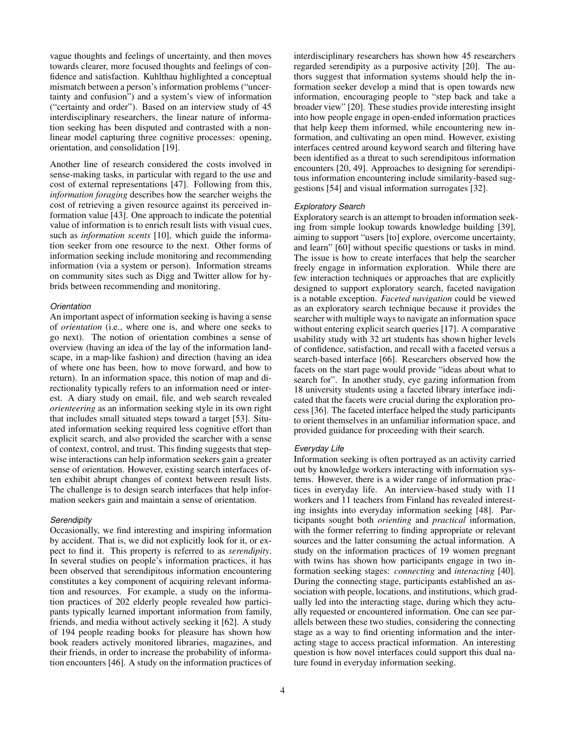vague thoughts and feelings of uncertainty, and then moves towards clearer, more focused thoughts and feelings of confidence and satisfaction. Kuhlthau highlighted a conceptual mismatch between a person's information problems ("uncertainty and confusion") and a system's view of information ("certainty and order"). Based on an interview study of 45 interdisciplinary researchers, the linear nature of information seeking has been disputed and contrasted with a nonlinear model capturing three cognitive processes: opening, orientation, and consolidation [\[19\]](#page-8-12).

Another line of research considered the costs involved in sense-making tasks, in particular with regard to the use and cost of external representations [\[47\]](#page-9-21). Following from this, *information foraging* describes how the searcher weighs the cost of retrieving a given resource against its perceived information value [\[43\]](#page-9-22). One approach to indicate the potential value of information is to enrich result lists with visual cues, such as *information scents* [\[10\]](#page-8-13), which guide the information seeker from one resource to the next. Other forms of information seeking include monitoring and recommending information (via a system or person). Information streams on community sites such as Digg and Twitter allow for hybrids between recommending and monitoring.

## *Orientation*

An important aspect of information seeking is having a sense of *orientation* (i.e., where one is, and where one seeks to go next). The notion of orientation combines a sense of overview (having an idea of the lay of the information landscape, in a map-like fashion) and direction (having an idea of where one has been, how to move forward, and how to return). In an information space, this notion of map and directionality typically refers to an information need or interest. A diary study on email, file, and web search revealed *orienteering* as an information seeking style in its own right that includes small situated steps toward a target [\[53\]](#page-9-23). Situated information seeking required less cognitive effort than explicit search, and also provided the searcher with a sense of context, control, and trust. This finding suggests that stepwise interactions can help information seekers gain a greater sense of orientation. However, existing search interfaces often exhibit abrupt changes of context between result lists. The challenge is to design search interfaces that help information seekers gain and maintain a sense of orientation.

## *Serendipity*

Occasionally, we find interesting and inspiring information by accident. That is, we did not explicitly look for it, or expect to find it. This property is referred to as *serendipity*. In several studies on people's information practices, it has been observed that serendipitous information encountering constitutes a key component of acquiring relevant information and resources. For example, a study on the information practices of 202 elderly people revealed how participants typically learned important information from family, friends, and media without actively seeking it [\[62\]](#page-9-6). A study of 194 people reading books for pleasure has shown how book readers actively monitored libraries, magazines, and their friends, in order to increase the probability of information encounters [\[46\]](#page-9-4). A study on the information practices of interdisciplinary researchers has shown how 45 researchers regarded serendipity as a purposive activity [\[20\]](#page-8-14). The authors suggest that information systems should help the information seeker develop a mind that is open towards new information, encouraging people to "step back and take a broader view" [\[20\]](#page-8-14). These studies provide interesting insight into how people engage in open-ended information practices that help keep them informed, while encountering new information, and cultivating an open mind. However, existing interfaces centred around keyword search and filtering have been identified as a threat to such serendipitous information encounters [\[20,](#page-8-14) [49\]](#page-9-24). Approaches to designing for serendipitous information encountering include similarity-based suggestions [\[54\]](#page-9-19) and visual information surrogates [\[32\]](#page-9-25).

### *Exploratory Search*

Exploratory search is an attempt to broaden information seeking from simple lookup towards knowledge building [\[39\]](#page-9-7), aiming to support "users [to] explore, overcome uncertainty, and learn" [\[60\]](#page-9-26) without specific questions or tasks in mind. The issue is how to create interfaces that help the searcher freely engage in information exploration. While there are few interaction techniques or approaches that are explicitly designed to support exploratory search, faceted navigation is a notable exception. *Faceted navigation* could be viewed as an exploratory search technique because it provides the searcher with multiple ways to navigate an information space without entering explicit search queries [\[17\]](#page-8-15). A comparative usability study with 32 art students has shown higher levels of confidence, satisfaction, and recall with a faceted versus a search-based interface [\[66\]](#page-9-27). Researchers observed how the facets on the start page would provide "ideas about what to search for". In another study, eye gazing information from 18 university students using a faceted library interface indicated that the facets were crucial during the exploration process [\[36\]](#page-9-28). The faceted interface helped the study participants to orient themselves in an unfamiliar information space, and provided guidance for proceeding with their search.

### *Everyday Life*

Information seeking is often portrayed as an activity carried out by knowledge workers interacting with information systems. However, there is a wider range of information practices in everyday life. An interview-based study with 11 workers and 11 teachers from Finland has revealed interesting insights into everyday information seeking [\[48\]](#page-9-2). Participants sought both *orienting* and *practical* information, with the former referring to finding appropriate or relevant sources and the latter consuming the actual information. A study on the information practices of 19 women pregnant with twins has shown how participants engage in two information seeking stages: *connecting* and *interacting* [\[40\]](#page-9-5). During the connecting stage, participants established an association with people, locations, and institutions, which gradually led into the interacting stage, during which they actually requested or encountered information. One can see parallels between these two studies, considering the connecting stage as a way to find orienting information and the interacting stage to access practical information. An interesting question is how novel interfaces could support this dual nature found in everyday information seeking.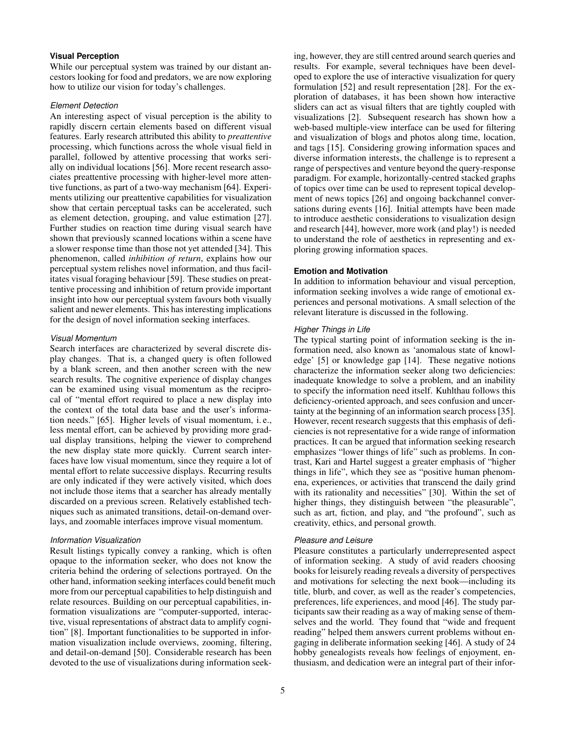# **Visual Perception**

While our perceptual system was trained by our distant ancestors looking for food and predators, we are now exploring how to utilize our vision for today's challenges.

## *Element Detection*

An interesting aspect of visual perception is the ability to rapidly discern certain elements based on different visual features. Early research attributed this ability to *preattentive* processing, which functions across the whole visual field in parallel, followed by attentive processing that works serially on individual locations [\[56\]](#page-9-29). More recent research associates preattentive processing with higher-level more attentive functions, as part of a two-way mechanism [\[64\]](#page-9-30). Experiments utilizing our preattentive capabilities for visualization show that certain perceptual tasks can be accelerated, such as element detection, grouping, and value estimation [\[27\]](#page-9-31). Further studies on reaction time during visual search have shown that previously scanned locations within a scene have a slower response time than those not yet attended [\[34\]](#page-9-32). This phenomenon, called *inhibition of return*, explains how our perceptual system relishes novel information, and thus facilitates visual foraging behaviour [\[59\]](#page-9-33). These studies on preattentive processing and inhibition of return provide important insight into how our perceptual system favours both visually salient and newer elements. This has interesting implications for the design of novel information seeking interfaces.

## *Visual Momentum*

Search interfaces are characterized by several discrete display changes. That is, a changed query is often followed by a blank screen, and then another screen with the new search results. The cognitive experience of display changes can be examined using visual momentum as the reciprocal of "mental effort required to place a new display into the context of the total data base and the user's information needs." [\[65\]](#page-9-34). Higher levels of visual momentum, i. e., less mental effort, can be achieved by providing more gradual display transitions, helping the viewer to comprehend the new display state more quickly. Current search interfaces have low visual momentum, since they require a lot of mental effort to relate successive displays. Recurring results are only indicated if they were actively visited, which does not include those items that a searcher has already mentally discarded on a previous screen. Relatively established techniques such as animated transitions, detail-on-demand overlays, and zoomable interfaces improve visual momentum.

## *Information Visualization*

Result listings typically convey a ranking, which is often opaque to the information seeker, who does not know the criteria behind the ordering of selections portrayed. On the other hand, information seeking interfaces could benefit much more from our perceptual capabilities to help distinguish and relate resources. Building on our perceptual capabilities, information visualizations are "computer-supported, interactive, visual representations of abstract data to amplify cognition" [\[8\]](#page-8-16). Important functionalities to be supported in information visualization include overviews, zooming, filtering, and detail-on-demand [\[50\]](#page-9-35). Considerable research has been devoted to the use of visualizations during information seeking, however, they are still centred around search queries and results. For example, several techniques have been developed to explore the use of interactive visualization for query formulation [\[52\]](#page-9-36) and result representation [\[28\]](#page-9-37). For the exploration of databases, it has been shown how interactive sliders can act as visual filters that are tightly coupled with visualizations [\[2\]](#page-8-17). Subsequent research has shown how a web-based multiple-view interface can be used for filtering and visualization of blogs and photos along time, location, and tags [\[15\]](#page-8-18). Considering growing information spaces and diverse information interests, the challenge is to represent a range of perspectives and venture beyond the query-response paradigm. For example, horizontally-centred stacked graphs of topics over time can be used to represent topical development of news topics [\[26\]](#page-9-38) and ongoing backchannel conversations during events [\[16\]](#page-8-19). Initial attempts have been made to introduce aesthetic considerations to visualization design and research [\[44\]](#page-9-10), however, more work (and play!) is needed to understand the role of aesthetics in representing and exploring growing information spaces.

#### **Emotion and Motivation**

In addition to information behaviour and visual perception, information seeking involves a wide range of emotional experiences and personal motivations. A small selection of the relevant literature is discussed in the following.

## *Higher Things in Life*

The typical starting point of information seeking is the information need, also known as 'anomalous state of knowledge' [\[5\]](#page-8-2) or knowledge gap [\[14\]](#page-8-1). These negative notions characterize the information seeker along two deficiencies: inadequate knowledge to solve a problem, and an inability to specify the information need itself. Kuhlthau follows this deficiency-oriented approach, and sees confusion and uncertainty at the beginning of an information search process [\[35\]](#page-9-1). However, recent research suggests that this emphasis of deficiencies is not representative for a wide range of information practices. It can be argued that information seeking research emphasizes "lower things of life" such as problems. In contrast, Kari and Hartel suggest a greater emphasis of "higher things in life", which they see as "positive human phenomena, experiences, or activities that transcend the daily grind with its rationality and necessities" [\[30\]](#page-9-11). Within the set of higher things, they distinguish between "the pleasurable", such as art, fiction, and play, and "the profound", such as creativity, ethics, and personal growth.

#### *Pleasure and Leisure*

Pleasure constitutes a particularly underrepresented aspect of information seeking. A study of avid readers choosing books for leisurely reading reveals a diversity of perspectives and motivations for selecting the next book—including its title, blurb, and cover, as well as the reader's competencies, preferences, life experiences, and mood [\[46\]](#page-9-4). The study participants saw their reading as a way of making sense of themselves and the world. They found that "wide and frequent reading" helped them answers current problems without engaging in deliberate information seeking [\[46\]](#page-9-4). A study of 24 hobby genealogists reveals how feelings of enjoyment, enthusiasm, and dedication were an integral part of their infor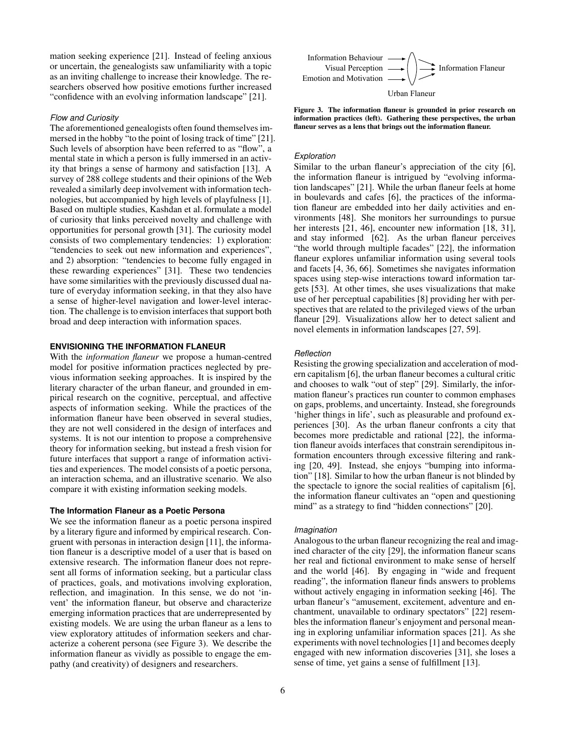mation seeking experience [\[21\]](#page-8-3). Instead of feeling anxious or uncertain, the genealogists saw unfamiliarity with a topic as an inviting challenge to increase their knowledge. The researchers observed how positive emotions further increased "confidence with an evolving information landscape" [\[21\]](#page-8-3).

#### *Flow and Curiosity*

The aforementioned genealogists often found themselves immersed in the hobby "to the point of losing track of time" [\[21\]](#page-8-3). Such levels of absorption have been referred to as "flow", a mental state in which a person is fully immersed in an activity that brings a sense of harmony and satisfaction [\[13\]](#page-8-20). A survey of 288 college students and their opinions of the Web revealed a similarly deep involvement with information technologies, but accompanied by high levels of playfulness [\[1\]](#page-8-21). Based on multiple studies, Kashdan et al. formulate a model of curiosity that links perceived novelty and challenge with opportunities for personal growth [\[31\]](#page-9-39). The curiosity model consists of two complementary tendencies: 1) exploration: "tendencies to seek out new information and experiences", and 2) absorption: "tendencies to become fully engaged in these rewarding experiences" [\[31\]](#page-9-39). These two tendencies have some similarities with the previously discussed dual nature of everyday information seeking, in that they also have a sense of higher-level navigation and lower-level interaction. The challenge is to envision interfaces that support both broad and deep interaction with information spaces.

# **ENVISIONING THE INFORMATION FLANEUR**

With the *information flaneur* we propose a human-centred model for positive information practices neglected by previous information seeking approaches. It is inspired by the literary character of the urban flaneur, and grounded in empirical research on the cognitive, perceptual, and affective aspects of information seeking. While the practices of the information flaneur have been observed in several studies, they are not well considered in the design of interfaces and systems. It is not our intention to propose a comprehensive theory for information seeking, but instead a fresh vision for future interfaces that support a range of information activities and experiences. The model consists of a poetic persona, an interaction schema, and an illustrative scenario. We also compare it with existing information seeking models.

## **The Information Flaneur as a Poetic Persona**

We see the information flaneur as a poetic persona inspired by a literary figure and informed by empirical research. Congruent with personas in interaction design [\[11\]](#page-8-22), the information flaneur is a descriptive model of a user that is based on extensive research. The information flaneur does not represent all forms of information seeking, but a particular class of practices, goals, and motivations involving exploration, reflection, and imagination. In this sense, we do not 'invent' the information flaneur, but observe and characterize emerging information practices that are underrepresented by existing models. We are using the urban flaneur as a lens to view exploratory attitudes of information seekers and characterize a coherent persona (see Figure [3\)](#page-5-0). We describe the information flaneur as vividly as possible to engage the empathy (and creativity) of designers and researchers.



<span id="page-5-0"></span>Figure 3. The information flaneur is grounded in prior research on information practices (left). Gathering these perspectives, the urban flaneur serves as a lens that brings out the information flaneur.

#### *Exploration*

Similar to the urban flaneur's appreciation of the city [\[6\]](#page-8-6), the information flaneur is intrigued by "evolving information landscapes" [\[21\]](#page-8-3). While the urban flaneur feels at home in boulevards and cafes [\[6\]](#page-8-6), the practices of the information flaneur are embedded into her daily activities and environments [\[48\]](#page-9-2). She monitors her surroundings to pursue her interests [\[21,](#page-8-3) [46\]](#page-9-4), encounter new information [\[18,](#page-8-4) [31\]](#page-9-39), and stay informed [\[62\]](#page-9-6). As the urban flaneur perceives "the world through multiple facades" [\[22\]](#page-8-9), the information flaneur explores unfamiliar information using several tools and facets [\[4,](#page-8-0) [36,](#page-9-28) [66\]](#page-9-27). Sometimes she navigates information spaces using step-wise interactions toward information targets [\[53\]](#page-9-23). At other times, she uses visualizations that make use of her perceptual capabilities [\[8\]](#page-8-16) providing her with perspectives that are related to the privileged views of the urban flaneur [\[29\]](#page-9-15). Visualizations allow her to detect salient and novel elements in information landscapes [\[27,](#page-9-31) [59\]](#page-9-33).

#### *Reflection*

Resisting the growing specialization and acceleration of modern capitalism [\[6\]](#page-8-6), the urban flaneur becomes a cultural critic and chooses to walk "out of step" [\[29\]](#page-9-15). Similarly, the information flaneur's practices run counter to common emphases on gaps, problems, and uncertainty. Instead, she foregrounds 'higher things in life', such as pleasurable and profound experiences [\[30\]](#page-9-11). As the urban flaneur confronts a city that becomes more predictable and rational [\[22\]](#page-8-9), the information flaneur avoids interfaces that constrain serendipitous information encounters through excessive filtering and ranking [\[20,](#page-8-14) [49\]](#page-9-24). Instead, she enjoys "bumping into information" [\[18\]](#page-8-4). Similar to how the urban flaneur is not blinded by the spectacle to ignore the social realities of capitalism [\[6\]](#page-8-6), the information flaneur cultivates an "open and questioning mind" as a strategy to find "hidden connections" [\[20\]](#page-8-14).

#### *Imagination*

Analogous to the urban flaneur recognizing the real and imagined character of the city [\[29\]](#page-9-15), the information flaneur scans her real and fictional environment to make sense of herself and the world [\[46\]](#page-9-4). By engaging in "wide and frequent reading", the information flaneur finds answers to problems without actively engaging in information seeking [\[46\]](#page-9-4). The urban flaneur's "amusement, excitement, adventure and enchantment, unavailable to ordinary spectators" [\[22\]](#page-8-9) resembles the information flaneur's enjoyment and personal meaning in exploring unfamiliar information spaces [\[21\]](#page-8-3). As she experiments with novel technologies [\[1\]](#page-8-21) and becomes deeply engaged with new information discoveries [\[31\]](#page-9-39), she loses a sense of time, yet gains a sense of fulfillment [\[13\]](#page-8-20).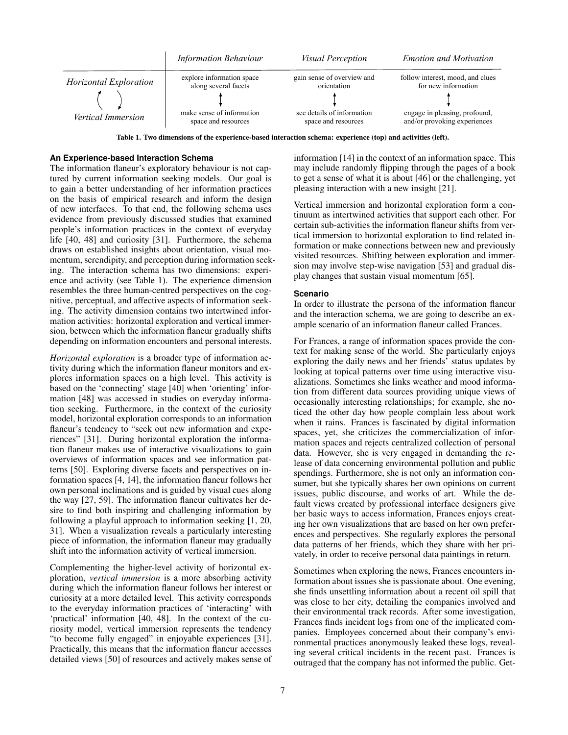

<span id="page-6-0"></span>Table 1. Two dimensions of the experience-based interaction schema: experience (top) and activities (left).

### **An Experience-based Interaction Schema**

The information flaneur's exploratory behaviour is not captured by current information seeking models. Our goal is to gain a better understanding of her information practices on the basis of empirical research and inform the design of new interfaces. To that end, the following schema uses evidence from previously discussed studies that examined people's information practices in the context of everyday life [\[40,](#page-9-5) [48\]](#page-9-2) and curiosity [\[31\]](#page-9-39). Furthermore, the schema draws on established insights about orientation, visual momentum, serendipity, and perception during information seeking. The interaction schema has two dimensions: experience and activity (see Table [1\)](#page-6-0). The experience dimension resembles the three human-centred perspectives on the cognitive, perceptual, and affective aspects of information seeking. The activity dimension contains two intertwined information activities: horizontal exploration and vertical immersion, between which the information flaneur gradually shifts depending on information encounters and personal interests.

*Horizontal exploration* is a broader type of information activity during which the information flaneur monitors and explores information spaces on a high level. This activity is based on the 'connecting' stage [\[40\]](#page-9-5) when 'orienting' information [\[48\]](#page-9-2) was accessed in studies on everyday information seeking. Furthermore, in the context of the curiosity model, horizontal exploration corresponds to an information flaneur's tendency to "seek out new information and experiences" [\[31\]](#page-9-39). During horizontal exploration the information flaneur makes use of interactive visualizations to gain overviews of information spaces and see information patterns [\[50\]](#page-9-35). Exploring diverse facets and perspectives on information spaces [\[4,](#page-8-0) [14\]](#page-8-1), the information flaneur follows her own personal inclinations and is guided by visual cues along the way [\[27,](#page-9-31) [59\]](#page-9-33). The information flaneur cultivates her desire to find both inspiring and challenging information by following a playful approach to information seeking [\[1,](#page-8-21) [20,](#page-8-14) [31\]](#page-9-39). When a visualization reveals a particularly interesting piece of information, the information flaneur may gradually shift into the information activity of vertical immersion.

Complementing the higher-level activity of horizontal exploration, *vertical immersion* is a more absorbing activity during which the information flaneur follows her interest or curiosity at a more detailed level. This activity corresponds to the everyday information practices of 'interacting' with 'practical' information [\[40,](#page-9-5) [48\]](#page-9-2). In the context of the curiosity model, vertical immersion represents the tendency "to become fully engaged" in enjoyable experiences [\[31\]](#page-9-39). Practically, this means that the information flaneur accesses detailed views [\[50\]](#page-9-35) of resources and actively makes sense of information [\[14\]](#page-8-1) in the context of an information space. This may include randomly flipping through the pages of a book to get a sense of what it is about [\[46\]](#page-9-4) or the challenging, yet pleasing interaction with a new insight [\[21\]](#page-8-3).

Vertical immersion and horizontal exploration form a continuum as intertwined activities that support each other. For certain sub-activities the information flaneur shifts from vertical immersion to horizontal exploration to find related information or make connections between new and previously visited resources. Shifting between exploration and immersion may involve step-wise navigation [\[53\]](#page-9-23) and gradual display changes that sustain visual momentum [\[65\]](#page-9-34).

#### **Scenario**

In order to illustrate the persona of the information flaneur and the interaction schema, we are going to describe an example scenario of an information flaneur called Frances.

For Frances, a range of information spaces provide the context for making sense of the world. She particularly enjoys exploring the daily news and her friends' status updates by looking at topical patterns over time using interactive visualizations. Sometimes she links weather and mood information from different data sources providing unique views of occasionally interesting relationships; for example, she noticed the other day how people complain less about work when it rains. Frances is fascinated by digital information spaces, yet, she criticizes the commercialization of information spaces and rejects centralized collection of personal data. However, she is very engaged in demanding the release of data concerning environmental pollution and public spendings. Furthermore, she is not only an information consumer, but she typically shares her own opinions on current issues, public discourse, and works of art. While the default views created by professional interface designers give her basic ways to access information, Frances enjoys creating her own visualizations that are based on her own preferences and perspectives. She regularly explores the personal data patterns of her friends, which they share with her privately, in order to receive personal data paintings in return.

Sometimes when exploring the news, Frances encounters information about issues she is passionate about. One evening, she finds unsettling information about a recent oil spill that was close to her city, detailing the companies involved and their environmental track records. After some investigation, Frances finds incident logs from one of the implicated companies. Employees concerned about their company's environmental practices anonymously leaked these logs, revealing several critical incidents in the recent past. Frances is outraged that the company has not informed the public. Get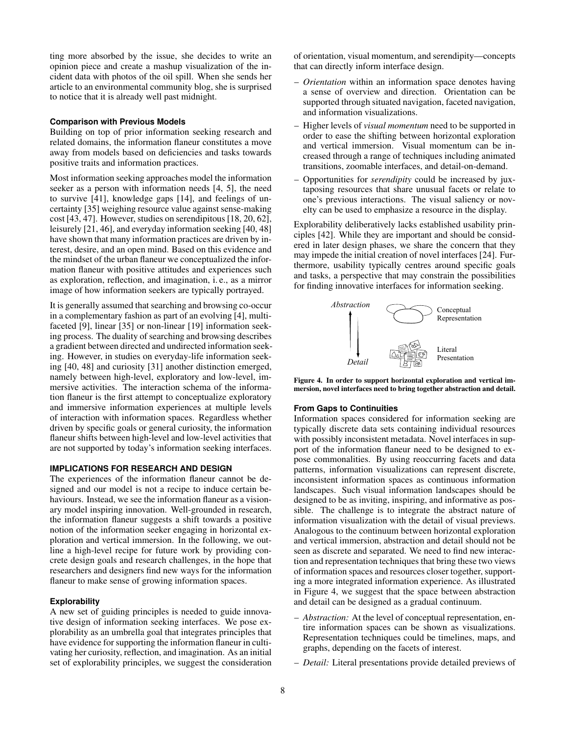ting more absorbed by the issue, she decides to write an opinion piece and create a mashup visualization of the incident data with photos of the oil spill. When she sends her article to an environmental community blog, she is surprised to notice that it is already well past midnight.

#### **Comparison with Previous Models**

Building on top of prior information seeking research and related domains, the information flaneur constitutes a move away from models based on deficiencies and tasks towards positive traits and information practices.

Most information seeking approaches model the information seeker as a person with information needs [\[4,](#page-8-0) [5\]](#page-8-2), the need to survive [\[41\]](#page-9-16), knowledge gaps [\[14\]](#page-8-1), and feelings of uncertainty [\[35\]](#page-9-1) weighing resource value against sense-making cost [\[43,](#page-9-22) [47\]](#page-9-21). However, studies on serendipitous [\[18,](#page-8-4) [20,](#page-8-14) [62\]](#page-9-6), leisurely [\[21,](#page-8-3) [46\]](#page-9-4), and everyday information seeking [\[40,](#page-9-5) [48\]](#page-9-2) have shown that many information practices are driven by interest, desire, and an open mind. Based on this evidence and the mindset of the urban flaneur we conceptualized the information flaneur with positive attitudes and experiences such as exploration, reflection, and imagination, i. e., as a mirror image of how information seekers are typically portrayed.

It is generally assumed that searching and browsing co-occur in a complementary fashion as part of an evolving [\[4\]](#page-8-0), multifaceted [\[9\]](#page-8-11), linear [\[35\]](#page-9-1) or non-linear [\[19\]](#page-8-12) information seeking process. The duality of searching and browsing describes a gradient between directed and undirected information seeking. However, in studies on everyday-life information seeking [\[40,](#page-9-5) [48\]](#page-9-2) and curiosity [\[31\]](#page-9-39) another distinction emerged, namely between high-level, exploratory and low-level, immersive activities. The interaction schema of the information flaneur is the first attempt to conceptualize exploratory and immersive information experiences at multiple levels of interaction with information spaces. Regardless whether driven by specific goals or general curiosity, the information flaneur shifts between high-level and low-level activities that are not supported by today's information seeking interfaces.

#### **IMPLICATIONS FOR RESEARCH AND DESIGN**

The experiences of the information flaneur cannot be designed and our model is not a recipe to induce certain behaviours. Instead, we see the information flaneur as a visionary model inspiring innovation. Well-grounded in research, the information flaneur suggests a shift towards a positive notion of the information seeker engaging in horizontal exploration and vertical immersion. In the following, we outline a high-level recipe for future work by providing concrete design goals and research challenges, in the hope that researchers and designers find new ways for the information flaneur to make sense of growing information spaces.

# **Explorability**

A new set of guiding principles is needed to guide innovative design of information seeking interfaces. We pose explorability as an umbrella goal that integrates principles that have evidence for supporting the information flaneur in cultivating her curiosity, reflection, and imagination. As an initial set of explorability principles, we suggest the consideration of orientation, visual momentum, and serendipity—concepts that can directly inform interface design.

- *Orientation* within an information space denotes having a sense of overview and direction. Orientation can be supported through situated navigation, faceted navigation, and information visualizations.
- Higher levels of *visual momentum* need to be supported in order to ease the shifting between horizontal exploration and vertical immersion. Visual momentum can be increased through a range of techniques including animated transitions, zoomable interfaces, and detail-on-demand.
- Opportunities for *serendipity* could be increased by juxtaposing resources that share unusual facets or relate to one's previous interactions. The visual saliency or novelty can be used to emphasize a resource in the display.

Explorability deliberatively lacks established usability principles [\[42\]](#page-9-40). While they are important and should be considered in later design phases, we share the concern that they may impede the initial creation of novel interfaces [\[24\]](#page-9-41). Furthermore, usability typically centres around specific goals and tasks, a perspective that may constrain the possibilities for finding innovative interfaces for information seeking.



<span id="page-7-0"></span>Figure 4. In order to support horizontal exploration and vertical immersion, novel interfaces need to bring together abstraction and detail.

#### **From Gaps to Continuities**

Information spaces considered for information seeking are typically discrete data sets containing individual resources with possibly inconsistent metadata. Novel interfaces in support of the information flaneur need to be designed to expose commonalities. By using reoccurring facets and data patterns, information visualizations can represent discrete, inconsistent information spaces as continuous information landscapes. Such visual information landscapes should be designed to be as inviting, inspiring, and informative as possible. The challenge is to integrate the abstract nature of information visualization with the detail of visual previews. Analogous to the continuum between horizontal exploration and vertical immersion, abstraction and detail should not be seen as discrete and separated. We need to find new interaction and representation techniques that bring these two views of information spaces and resources closer together, supporting a more integrated information experience. As illustrated in Figure [4,](#page-7-0) we suggest that the space between abstraction and detail can be designed as a gradual continuum.

- *Abstraction:* At the level of conceptual representation, entire information spaces can be shown as visualizations. Representation techniques could be timelines, maps, and graphs, depending on the facets of interest.
- *Detail:* Literal presentations provide detailed previews of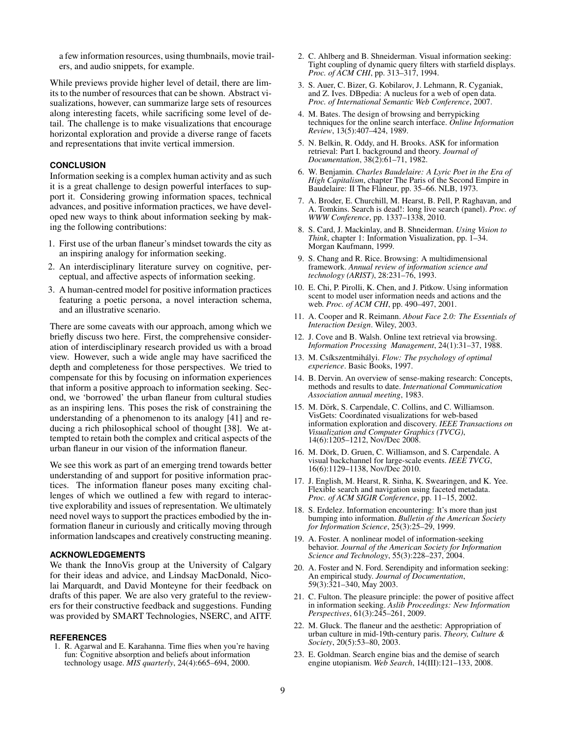a few information resources, using thumbnails, movie trailers, and audio snippets, for example.

While previews provide higher level of detail, there are limits to the number of resources that can be shown. Abstract visualizations, however, can summarize large sets of resources along interesting facets, while sacrificing some level of detail. The challenge is to make visualizations that encourage horizontal exploration and provide a diverse range of facets and representations that invite vertical immersion.

## **CONCLUSION**

Information seeking is a complex human activity and as such it is a great challenge to design powerful interfaces to support it. Considering growing information spaces, technical advances, and positive information practices, we have developed new ways to think about information seeking by making the following contributions:

- 1. First use of the urban flaneur's mindset towards the city as an inspiring analogy for information seeking.
- 2. An interdisciplinary literature survey on cognitive, perceptual, and affective aspects of information seeking.
- 3. A human-centred model for positive information practices featuring a poetic persona, a novel interaction schema, and an illustrative scenario.

There are some caveats with our approach, among which we briefly discuss two here. First, the comprehensive consideration of interdisciplinary research provided us with a broad view. However, such a wide angle may have sacrificed the depth and completeness for those perspectives. We tried to compensate for this by focusing on information experiences that inform a positive approach to information seeking. Second, we 'borrowed' the urban flaneur from cultural studies as an inspiring lens. This poses the risk of constraining the understanding of a phenomenon to its analogy [\[41\]](#page-9-16) and reducing a rich philosophical school of thought [\[38\]](#page-9-42). We attempted to retain both the complex and critical aspects of the urban flaneur in our vision of the information flaneur.

We see this work as part of an emerging trend towards better understanding of and support for positive information practices. The information flaneur poses many exciting challenges of which we outlined a few with regard to interactive explorability and issues of representation. We ultimately need novel ways to support the practices embodied by the information flaneur in curiously and critically moving through information landscapes and creatively constructing meaning.

## **ACKNOWLEDGEMENTS**

We thank the InnoVis group at the University of Calgary for their ideas and advice, and Lindsay MacDonald, Nicolai Marquardt, and David Monteyne for their feedback on drafts of this paper. We are also very grateful to the reviewers for their constructive feedback and suggestions. Funding was provided by SMART Technologies, NSERC, and AITF.

## **REFERENCES**

<span id="page-8-21"></span>1. R. Agarwal and E. Karahanna. Time flies when you're having fun: Cognitive absorption and beliefs about information technology usage. *MIS quarterly*, 24(4):665–694, 2000.

- <span id="page-8-17"></span>2. C. Ahlberg and B. Shneiderman. Visual information seeking: Tight coupling of dynamic query filters with starfield displays. *Proc. of ACM CHI*, pp. 313–317, 1994.
- <span id="page-8-8"></span>3. S. Auer, C. Bizer, G. Kobilarov, J. Lehmann, R. Cyganiak, and Z. Ives. DBpedia: A nucleus for a web of open data. *Proc. of International Semantic Web Conference*, 2007.
- <span id="page-8-0"></span>4. M. Bates. The design of browsing and berrypicking techniques for the online search interface. *Online Information Review*, 13(5):407–424, 1989.
- <span id="page-8-2"></span>5. N. Belkin, R. Oddy, and H. Brooks. ASK for information retrieval: Part I. background and theory. *Journal of Documentation*, 38(2):61–71, 1982.
- <span id="page-8-6"></span>6. W. Benjamin. *Charles Baudelaire: A Lyric Poet in the Era of High Capitalism*, chapter The Paris of the Second Empire in Baudelaire: II The Flâneur, pp. 35–66. NLB, 1973.
- <span id="page-8-5"></span>7. A. Broder, E. Churchill, M. Hearst, B. Pell, P. Raghavan, and A. Tomkins. Search is dead!: long live search (panel). *Proc. of WWW Conference*, pp. 1337–1338, 2010.
- <span id="page-8-16"></span>8. S. Card, J. Mackinlay, and B. Shneiderman. *Using Vision to Think*, chapter 1: Information Visualization, pp. 1–34. Morgan Kaufmann, 1999.
- <span id="page-8-11"></span>9. S. Chang and R. Rice. Browsing: A multidimensional framework. *Annual review of information science and technology (ARIST)*, 28:231–76, 1993.
- <span id="page-8-13"></span>10. E. Chi, P. Pirolli, K. Chen, and J. Pitkow. Using information scent to model user information needs and actions and the web. *Proc. of ACM CHI*, pp. 490–497, 2001.
- <span id="page-8-22"></span>11. A. Cooper and R. Reimann. *About Face 2.0: The Essentials of Interaction Design*. Wiley, 2003.
- <span id="page-8-10"></span>12. J. Cove and B. Walsh. Online text retrieval via browsing. *Information Processing Management*, 24(1):31–37, 1988.
- <span id="page-8-20"></span>13. M. Csíkszentmihályi. Flow: The psychology of optimal *experience*. Basic Books, 1997.
- <span id="page-8-1"></span>14. B. Dervin. An overview of sense-making research: Concepts, methods and results to date. *International Communication Association annual meeting*, 1983.
- <span id="page-8-18"></span>15. M. Dörk, S. Carpendale, C. Collins, and C. Williamson. VisGets: Coordinated visualizations for web-based information exploration and discovery. *IEEE Transactions on Visualization and Computer Graphics (TVCG)*, 14(6):1205–1212, Nov/Dec 2008.
- <span id="page-8-19"></span>16. M. Dörk, D. Gruen, C. Williamson, and S. Carpendale. A visual backchannel for large-scale events. *IEEE TVCG*, 16(6):1129–1138, Nov/Dec 2010.
- <span id="page-8-15"></span>17. J. English, M. Hearst, R. Sinha, K. Swearingen, and K. Yee. Flexible search and navigation using faceted metadata. *Proc. of ACM SIGIR Conference*, pp. 11–15, 2002.
- <span id="page-8-4"></span>18. S. Erdelez. Information encountering: It's more than just bumping into information. *Bulletin of the American Society for Information Science*, 25(3):25–29, 1999.
- <span id="page-8-12"></span>19. A. Foster. A nonlinear model of information-seeking behavior. *Journal of the American Society for Information Science and Technology*, 55(3):228–237, 2004.
- <span id="page-8-14"></span>20. A. Foster and N. Ford. Serendipity and information seeking: An empirical study. *Journal of Documentation*, 59(3):321–340, May 2003.
- <span id="page-8-3"></span>21. C. Fulton. The pleasure principle: the power of positive affect in information seeking. *Aslib Proceedings: New Information Perspectives*, 61(3):245–261, 2009.
- <span id="page-8-9"></span>22. M. Gluck. The flaneur and the aesthetic: Appropriation of urban culture in mid-19th-century paris. *Theory, Culture & Society*, 20(5):53–80, 2003.
- <span id="page-8-7"></span>23. E. Goldman. Search engine bias and the demise of search engine utopianism. *Web Search*, 14(III):121–133, 2008.